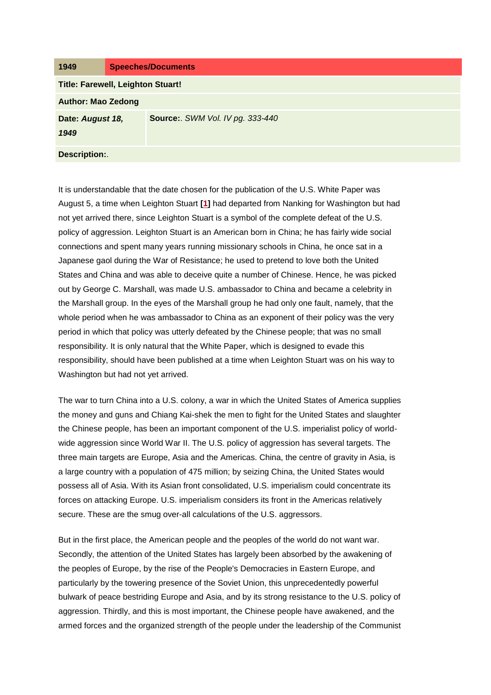| 1949                              | <b>Speeches/Documents</b>               |
|-----------------------------------|-----------------------------------------|
| Title: Farewell, Leighton Stuart! |                                         |
| <b>Author: Mao Zedong</b>         |                                         |
| Date: August 18,<br>1949          | <b>Source:.</b> SWM Vol. IV pg. 333-440 |
| Description:.                     |                                         |

It is understandable that the date chosen for the publication of the U.S. White Paper was August 5, a time when Leighton Stuart **[\[1\]](http://www.marxists.org/reference/archive/mao/selected-works/volume-4/mswv4_67.htm#bm1#bm1)** had departed from Nanking for Washington but had not yet arrived there, since Leighton Stuart is a symbol of the complete defeat of the U.S. policy of aggression. Leighton Stuart is an American born in China; he has fairly wide social connections and spent many years running missionary schools in China, he once sat in a Japanese gaol during the War of Resistance; he used to pretend to love both the United States and China and was able to deceive quite a number of Chinese. Hence, he was picked out by George C. Marshall, was made U.S. ambassador to China and became a celebrity in the Marshall group. In the eyes of the Marshall group he had only one fault, namely, that the whole period when he was ambassador to China as an exponent of their policy was the very period in which that policy was utterly defeated by the Chinese people; that was no small responsibility. It is only natural that the White Paper, which is designed to evade this responsibility, should have been published at a time when Leighton Stuart was on his way to Washington but had not yet arrived.

The war to turn China into a U.S. colony, a war in which the United States of America supplies the money and guns and Chiang Kai-shek the men to fight for the United States and slaughter the Chinese people, has been an important component of the U.S. imperialist policy of worldwide aggression since World War II. The U.S. policy of aggression has several targets. The three main targets are Europe, Asia and the Americas. China, the centre of gravity in Asia, is a large country with a population of 475 million; by seizing China, the United States would possess all of Asia. With its Asian front consolidated, U.S. imperialism could concentrate its forces on attacking Europe. U.S. imperialism considers its front in the Americas relatively secure. These are the smug over-all calculations of the U.S. aggressors.

But in the first place, the American people and the peoples of the world do not want war. Secondly, the attention of the United States has largely been absorbed by the awakening of the peoples of Europe, by the rise of the People's Democracies in Eastern Europe, and particularly by the towering presence of the Soviet Union, this unprecedentedly powerful bulwark of peace bestriding Europe and Asia, and by its strong resistance to the U.S. policy of aggression. Thirdly, and this is most important, the Chinese people have awakened, and the armed forces and the organized strength of the people under the leadership of the Communist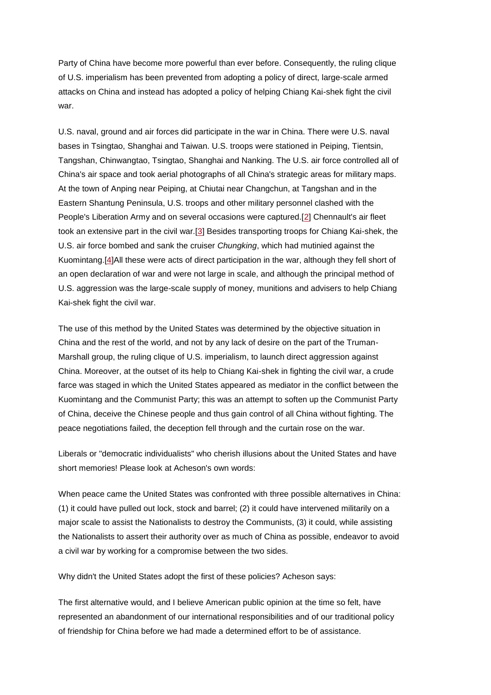Party of China have become more powerful than ever before. Consequently, the ruling clique of U.S. imperialism has been prevented from adopting a policy of direct, large-scale armed attacks on China and instead has adopted a policy of helping Chiang Kai-shek fight the civil war.

U.S. naval, ground and air forces did participate in the war in China. There were U.S. naval bases in Tsingtao, Shanghai and Taiwan. U.S. troops were stationed in Peiping, Tientsin, Tangshan, Chinwangtao, Tsingtao, Shanghai and Nanking. The U.S. air force controlled all of China's air space and took aerial photographs of all China's strategic areas for military maps. At the town of Anping near Peiping, at Chiutai near Changchun, at Tangshan and in the Eastern Shantung Peninsula, U.S. troops and other military personnel clashed with the People's Liberation Army and on several occasions were captured.[\[2\]](http://www.marxists.org/reference/archive/mao/selected-works/volume-4/mswv4_67.htm#bm2#bm2) Chennault's air fleet took an extensive part in the civil war.[\[3\]](http://www.marxists.org/reference/archive/mao/selected-works/volume-4/mswv4_67.htm#bm3#bm3) Besides transporting troops for Chiang Kai-shek, the U.S. air force bombed and sank the cruiser *Chungking*, which had mutinied against the Kuomintang.[\[4\]](http://www.marxists.org/reference/archive/mao/selected-works/volume-4/mswv4_67.htm#bm4#bm4)All these were acts of direct participation in the war, although they fell short of an open declaration of war and were not large in scale, and although the principal method of U.S. aggression was the large-scale supply of money, munitions and advisers to help Chiang Kai-shek fight the civil war.

The use of this method by the United States was determined by the objective situation in China and the rest of the world, and not by any lack of desire on the part of the Truman-Marshall group, the ruling clique of U.S. imperialism, to launch direct aggression against China. Moreover, at the outset of its help to Chiang Kai-shek in fighting the civil war, a crude farce was staged in which the United States appeared as mediator in the conflict between the Kuomintang and the Communist Party; this was an attempt to soften up the Communist Party of China, deceive the Chinese people and thus gain control of all China without fighting. The peace negotiations failed, the deception fell through and the curtain rose on the war.

Liberals or "democratic individualists" who cherish illusions about the United States and have short memories! Please look at Acheson's own words:

When peace came the United States was confronted with three possible alternatives in China: (1) it could have pulled out lock, stock and barrel; (2) it could have intervened militarily on a major scale to assist the Nationalists to destroy the Communists, (3) it could, while assisting the Nationalists to assert their authority over as much of China as possible, endeavor to avoid a civil war by working for a compromise between the two sides.

Why didn't the United States adopt the first of these policies? Acheson says:

The first alternative would, and I believe American public opinion at the time so felt, have represented an abandonment of our international responsibilities and of our traditional policy of friendship for China before we had made a determined effort to be of assistance.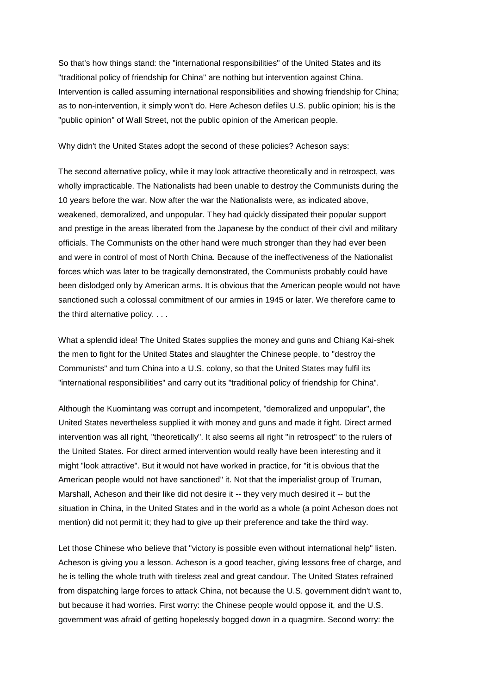So that's how things stand: the "international responsibilities" of the United States and its "traditional policy of friendship for China" are nothing but intervention against China. Intervention is called assuming international responsibilities and showing friendship for China; as to non-intervention, it simply won't do. Here Acheson defiles U.S. public opinion; his is the "public opinion" of Wall Street, not the public opinion of the American people.

Why didn't the United States adopt the second of these policies? Acheson says:

The second alternative policy, while it may look attractive theoretically and in retrospect, was wholly impracticable. The Nationalists had been unable to destroy the Communists during the 10 years before the war. Now after the war the Nationalists were, as indicated above, weakened, demoralized, and unpopular. They had quickly dissipated their popular support and prestige in the areas liberated from the Japanese by the conduct of their civil and military officials. The Communists on the other hand were much stronger than they had ever been and were in control of most of North China. Because of the ineffectiveness of the Nationalist forces which was later to be tragically demonstrated, the Communists probably could have been dislodged only by American arms. It is obvious that the American people would not have sanctioned such a colossal commitment of our armies in 1945 or later. We therefore came to the third alternative policy. . . .

What a splendid idea! The United States supplies the money and guns and Chiang Kai-shek the men to fight for the United States and slaughter the Chinese people, to "destroy the Communists" and turn China into a U.S. colony, so that the United States may fulfil its "international responsibilities" and carry out its "traditional policy of friendship for China".

Although the Kuomintang was corrupt and incompetent, "demoralized and unpopular", the United States nevertheless supplied it with money and guns and made it fight. Direct armed intervention was all right, "theoretically". It also seems all right "in retrospect" to the rulers of the United States. For direct armed intervention would really have been interesting and it might "look attractive". But it would not have worked in practice, for "it is obvious that the American people would not have sanctioned" it. Not that the imperialist group of Truman, Marshall, Acheson and their like did not desire it -- they very much desired it -- but the situation in China, in the United States and in the world as a whole (a point Acheson does not mention) did not permit it; they had to give up their preference and take the third way.

Let those Chinese who believe that "victory is possible even without international help" listen. Acheson is giving you a lesson. Acheson is a good teacher, giving lessons free of charge, and he is telling the whole truth with tireless zeal and great candour. The United States refrained from dispatching large forces to attack China, not because the U.S. government didn't want to, but because it had worries. First worry: the Chinese people would oppose it, and the U.S. government was afraid of getting hopelessly bogged down in a quagmire. Second worry: the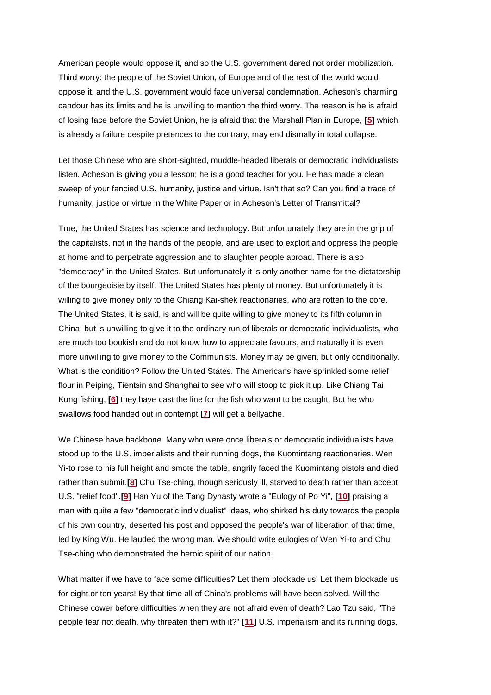American people would oppose it, and so the U.S. government dared not order mobilization. Third worry: the people of the Soviet Union, of Europe and of the rest of the world would oppose it, and the U.S. government would face universal condemnation. Acheson's charming candour has its limits and he is unwilling to mention the third worry. The reason is he is afraid of losing face before the Soviet Union, he is afraid that the Marshall Plan in Europe, **[\[5\]](http://www.marxists.org/reference/archive/mao/selected-works/volume-4/mswv4_67.htm#bm5#bm5)** which is already a failure despite pretences to the contrary, may end dismally in total collapse.

Let those Chinese who are short-sighted, muddle-headed liberals or democratic individualists listen. Acheson is giving you a lesson; he is a good teacher for you. He has made a clean sweep of your fancied U.S. humanity, justice and virtue. Isn't that so? Can you find a trace of humanity, justice or virtue in the White Paper or in Acheson's Letter of Transmittal?

True, the United States has science and technology. But unfortunately they are in the grip of the capitalists, not in the hands of the people, and are used to exploit and oppress the people at home and to perpetrate aggression and to slaughter people abroad. There is also "democracy" in the United States. But unfortunately it is only another name for the dictatorship of the bourgeoisie by itself. The United States has plenty of money. But unfortunately it is willing to give money only to the Chiang Kai-shek reactionaries, who are rotten to the core. The United States, it is said, is and will be quite willing to give money to its fifth column in China, but is unwilling to give it to the ordinary run of liberals or democratic individualists, who are much too bookish and do not know how to appreciate favours, and naturally it is even more unwilling to give money to the Communists. Money may be given, but only conditionally. What is the condition? Follow the United States. The Americans have sprinkled some relief flour in Peiping, Tientsin and Shanghai to see who will stoop to pick it up. Like Chiang Tai Kung fishing, **[\[6\]](http://www.marxists.org/reference/archive/mao/selected-works/volume-4/mswv4_67.htm#bm6#bm6)** they have cast the line for the fish who want to be caught. But he who swallows food handed out in contempt **[\[7\]](http://www.marxists.org/reference/archive/mao/selected-works/volume-4/mswv4_67.htm#bm7#bm7)** will get a bellyache.

We Chinese have backbone. Many who were once liberals or democratic individualists have stood up to the U.S. imperialists and their running dogs, the Kuomintang reactionaries. Wen Yi-to rose to his full height and smote the table, angrily faced the Kuomintang pistols and died rather than submit.**[\[8\]](http://www.marxists.org/reference/archive/mao/selected-works/volume-4/mswv4_67.htm#bm8#bm8)** Chu Tse-ching, though seriously ill, starved to death rather than accept U.S. "relief food".**[\[9\]](http://www.marxists.org/reference/archive/mao/selected-works/volume-4/mswv4_67.htm#bm9#bm9)** Han Yu of the Tang Dynasty wrote a "Eulogy of Po Yi", **[\[10\]](http://www.marxists.org/reference/archive/mao/selected-works/volume-4/mswv4_67.htm#bm10#bm10)** praising a man with quite a few "democratic individualist" ideas, who shirked his duty towards the people of his own country, deserted his post and opposed the people's war of liberation of that time, led by King Wu. He lauded the wrong man. We should write eulogies of Wen Yi-to and Chu Tse-ching who demonstrated the heroic spirit of our nation.

What matter if we have to face some difficulties? Let them blockade us! Let them blockade us for eight or ten years! By that time all of China's problems will have been solved. Will the Chinese cower before difficulties when they are not afraid even of death? Lao Tzu said, "The people fear not death, why threaten them with it?" **[\[11\]](http://www.marxists.org/reference/archive/mao/selected-works/volume-4/mswv4_67.htm#bm11#bm11)** U.S. imperialism and its running dogs,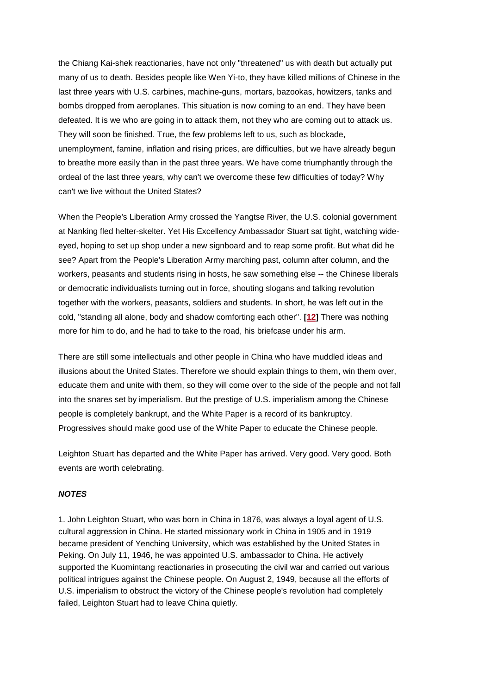the Chiang Kai-shek reactionaries, have not only "threatened" us with death but actually put many of us to death. Besides people like Wen Yi-to, they have killed millions of Chinese in the last three years with U.S. carbines, machine-guns, mortars, bazookas, howitzers, tanks and bombs dropped from aeroplanes. This situation is now coming to an end. They have been defeated. It is we who are going in to attack them, not they who are coming out to attack us. They will soon be finished. True, the few problems left to us, such as blockade, unemployment, famine, inflation and rising prices, are difficulties, but we have already begun to breathe more easily than in the past three years. We have come triumphantly through the ordeal of the last three years, why can't we overcome these few difficulties of today? Why can't we live without the United States?

When the People's Liberation Army crossed the Yangtse River, the U.S. colonial government at Nanking fled helter-skelter. Yet His Excellency Ambassador Stuart sat tight, watching wideeyed, hoping to set up shop under a new signboard and to reap some profit. But what did he see? Apart from the People's Liberation Army marching past, column after column, and the workers, peasants and students rising in hosts, he saw something else -- the Chinese liberals or democratic individualists turning out in force, shouting slogans and talking revolution together with the workers, peasants, soldiers and students. In short, he was left out in the cold, "standing all alone, body and shadow comforting each other". **[\[12\]](http://www.marxists.org/reference/archive/mao/selected-works/volume-4/mswv4_67.htm#bm12#bm12)** There was nothing more for him to do, and he had to take to the road, his briefcase under his arm.

There are still some intellectuals and other people in China who have muddled ideas and illusions about the United States. Therefore we should explain things to them, win them over, educate them and unite with them, so they will come over to the side of the people and not fall into the snares set by imperialism. But the prestige of U.S. imperialism among the Chinese people is completely bankrupt, and the White Paper is a record of its bankruptcy. Progressives should make good use of the White Paper to educate the Chinese people.

Leighton Stuart has departed and the White Paper has arrived. Very good. Very good. Both events are worth celebrating.

## *NOTES*

1. John Leighton Stuart, who was born in China in 1876, was always a loyal agent of U.S. cultural aggression in China. He started missionary work in China in 1905 and in 1919 became president of Yenching University, which was established by the United States in Peking. On July 11, 1946, he was appointed U.S. ambassador to China. He actively supported the Kuomintang reactionaries in prosecuting the civil war and carried out various political intrigues against the Chinese people. On August 2, 1949, because all the efforts of U.S. imperialism to obstruct the victory of the Chinese people's revolution had completely failed, Leighton Stuart had to leave China quietly.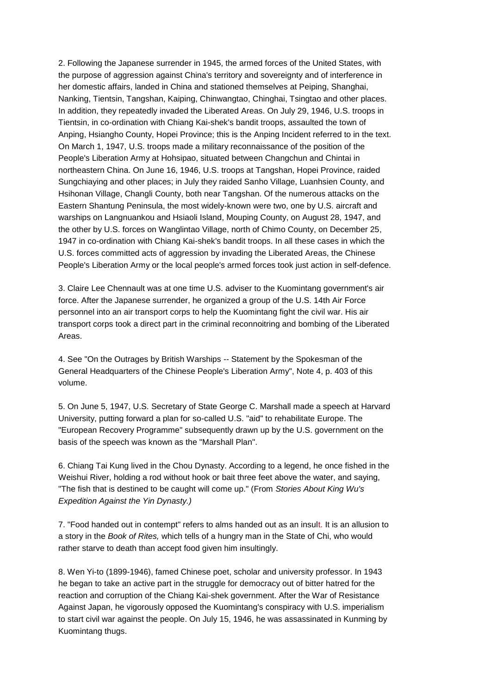2. Following the Japanese surrender in 1945, the armed forces of the United States, with the purpose of aggression against China's territory and sovereignty and of interference in her domestic affairs, landed in China and stationed themselves at Peiping, Shanghai, Nanking, Tientsin, Tangshan, Kaiping, Chinwangtao, Chinghai, Tsingtao and other places. In addition, they repeatedly invaded the Liberated Areas. On July 29, 1946, U.S. troops in Tientsin, in co-ordination with Chiang Kai-shek's bandit troops, assaulted the town of Anping, Hsiangho County, Hopei Province; this is the Anping Incident referred to in the text. On March 1, 1947, U.S. troops made a military reconnaissance of the position of the People's Liberation Army at Hohsipao, situated between Changchun and Chintai in northeastern China. On June 16, 1946, U.S. troops at Tangshan, Hopei Province, raided Sungchiaying and other places; in July they raided Sanho Village, Luanhsien County, and Hsihonan Village, Changli County, both near Tangshan. Of the numerous attacks on the Eastern Shantung Peninsula, the most widely-known were two, one by U.S. aircraft and warships on Langnuankou and Hsiaoli Island, Mouping County, on August 28, 1947, and the other by U.S. forces on Wanglintao Village, north of Chimo County, on December 25, 1947 in co-ordination with Chiang Kai-shek's bandit troops. In all these cases in which the U.S. forces committed acts of aggression by invading the Liberated Areas, the Chinese People's Liberation Army or the local people's armed forces took just action in self-defence.

3. Claire Lee Chennault was at one time U.S. adviser to the Kuomintang government's air force. After the Japanese surrender, he organized a group of the U.S. 14th Air Force personnel into an air transport corps to help the Kuomintang fight the civil war. His air transport corps took a direct part in the criminal reconnoitring and bombing of the Liberated Areas.

4. See "On the Outrages by British Warships -- Statement by the Spokesman of the General Headquarters of the Chinese People's Liberation Army", Note 4, p. 403 of this volume.

5. On June 5, 1947, U.S. Secretary of State George C. Marshall made a speech at Harvard University, putting forward a plan for so-called U.S. "aid" to rehabilitate Europe. The "European Recovery Programme" subsequently drawn up by the U.S. government on the basis of the speech was known as the "Marshall Plan".

6. Chiang Tai Kung lived in the Chou Dynasty. According to a legend, he once fished in the Weishui River, holding a rod without hook or bait three feet above the water, and saying, "The fish that is destined to be caught will come up." (From *Stories About King Wu's Expedition Against the Yin Dynasty.)* 

7. "Food handed out in contempt" refers to alms handed out as an insult. It is an allusion to a story in the *Book of Rites,* which tells of a hungry man in the State of Chi, who would rather starve to death than accept food given him insultingly.

8. Wen Yi-to (1899-1946), famed Chinese poet, scholar and university professor. In 1943 he began to take an active part in the struggle for democracy out of bitter hatred for the reaction and corruption of the Chiang Kai-shek government. After the War of Resistance Against Japan, he vigorously opposed the Kuomintang's conspiracy with U.S. imperialism to start civil war against the people. On July 15, 1946, he was assassinated in Kunming by Kuomintang thugs.